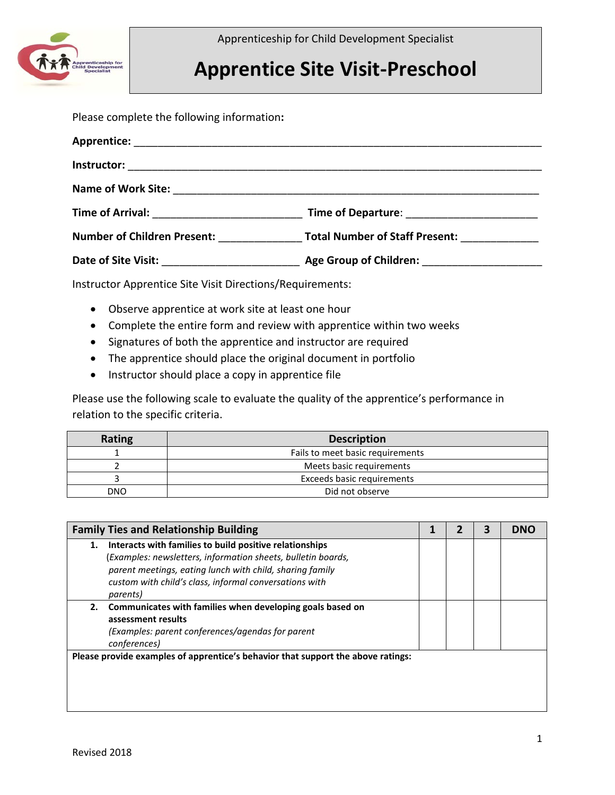

Apprenticeship for Child Development Specialist

## **Apprentice Site Visit-Preschool**

Please complete the following information**:**

| Time of Arrival: <u>__________________________</u> |                                              |
|----------------------------------------------------|----------------------------------------------|
| <b>Number of Children Present:</b>                 | Total Number of Staff Present: _____________ |
|                                                    |                                              |

Instructor Apprentice Site Visit Directions/Requirements:

- Observe apprentice at work site at least one hour
- Complete the entire form and review with apprentice within two weeks
- Signatures of both the apprentice and instructor are required
- The apprentice should place the original document in portfolio
- Instructor should place a copy in apprentice file

Please use the following scale to evaluate the quality of the apprentice's performance in relation to the specific criteria.

| Rating | <b>Description</b>               |
|--------|----------------------------------|
|        | Fails to meet basic requirements |
|        | Meets basic requirements         |
|        | Exceeds basic requirements       |
| DNO    | Did not observe                  |

| <b>Family Ties and Relationship Building</b>                                     |  | 3 | <b>DNO</b> |
|----------------------------------------------------------------------------------|--|---|------------|
| Interacts with families to build positive relationships<br>1.                    |  |   |            |
| (Examples: newsletters, information sheets, bulletin boards,                     |  |   |            |
| parent meetings, eating lunch with child, sharing family                         |  |   |            |
| custom with child's class, informal conversations with                           |  |   |            |
| <i>parents</i> )                                                                 |  |   |            |
| Communicates with families when developing goals based on<br>2.                  |  |   |            |
| assessment results                                                               |  |   |            |
| (Examples: parent conferences/agendas for parent                                 |  |   |            |
| conferences)                                                                     |  |   |            |
| Please provide examples of apprentice's behavior that support the above ratings: |  |   |            |
|                                                                                  |  |   |            |
|                                                                                  |  |   |            |
|                                                                                  |  |   |            |
|                                                                                  |  |   |            |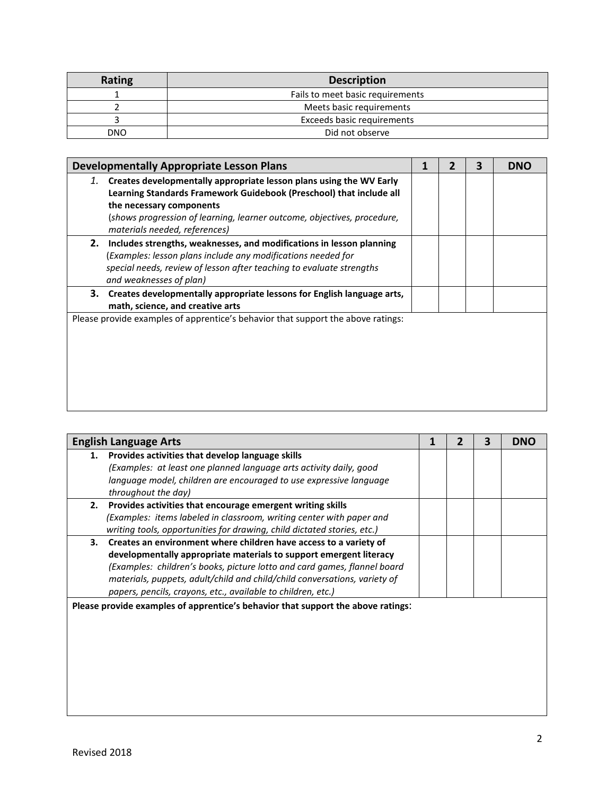| <b>Rating</b> | <b>Description</b>               |
|---------------|----------------------------------|
|               | Fails to meet basic requirements |
|               | Meets basic requirements         |
|               | Exceeds basic requirements       |
| DNO           | Did not observe                  |

| <b>Developmentally Appropriate Lesson Plans</b>                                                                                                                                                                                                                                       |  | 3 | <b>DNO</b> |
|---------------------------------------------------------------------------------------------------------------------------------------------------------------------------------------------------------------------------------------------------------------------------------------|--|---|------------|
| 1. Creates developmentally appropriate lesson plans using the WV Early<br>Learning Standards Framework Guidebook (Preschool) that include all<br>the necessary components<br>(shows progression of learning, learner outcome, objectives, procedure,<br>materials needed, references) |  |   |            |
| Includes strengths, weaknesses, and modifications in lesson planning<br>2.<br>(Examples: lesson plans include any modifications needed for<br>special needs, review of lesson after teaching to evaluate strengths<br>and weaknesses of plan)                                         |  |   |            |
| 3.<br>Creates developmentally appropriate lessons for English language arts,<br>math, science, and creative arts                                                                                                                                                                      |  |   |            |
| Please provide examples of apprentice's behavior that support the above ratings:                                                                                                                                                                                                      |  |   |            |

| <b>English Language Arts</b>                                                     |  |  |  |  |  |
|----------------------------------------------------------------------------------|--|--|--|--|--|
| Provides activities that develop language skills<br>1.                           |  |  |  |  |  |
| (Examples: at least one planned language arts activity daily, good               |  |  |  |  |  |
| language model, children are encouraged to use expressive language               |  |  |  |  |  |
| throughout the day)                                                              |  |  |  |  |  |
| 2. Provides activities that encourage emergent writing skills                    |  |  |  |  |  |
| (Examples: items labeled in classroom, writing center with paper and             |  |  |  |  |  |
| writing tools, opportunities for drawing, child dictated stories, etc.)          |  |  |  |  |  |
| 3. Creates an environment where children have access to a variety of             |  |  |  |  |  |
| developmentally appropriate materials to support emergent literacy               |  |  |  |  |  |
| (Examples: children's books, picture lotto and card games, flannel board         |  |  |  |  |  |
| materials, puppets, adult/child and child/child conversations, variety of        |  |  |  |  |  |
| papers, pencils, crayons, etc., available to children, etc.)                     |  |  |  |  |  |
| Please provide examples of apprentice's behavior that support the above ratings: |  |  |  |  |  |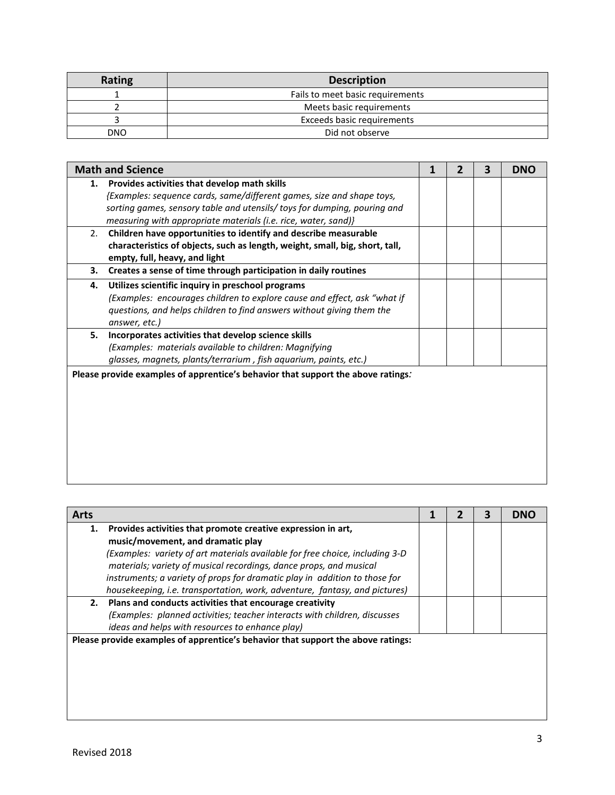| Rating | <b>Description</b>               |
|--------|----------------------------------|
|        | Fails to meet basic requirements |
|        | Meets basic requirements         |
|        | Exceeds basic requirements       |
| DNO    | Did not observe                  |

|    | <b>Math and Science</b>                                                          | 1 | 2 | $\overline{\mathbf{3}}$ | <b>DNO</b> |
|----|----------------------------------------------------------------------------------|---|---|-------------------------|------------|
| 1. | Provides activities that develop math skills                                     |   |   |                         |            |
|    | {Examples: sequence cards, same/different games, size and shape toys,            |   |   |                         |            |
|    | sorting games, sensory table and utensils/ toys for dumping, pouring and         |   |   |                         |            |
|    | measuring with appropriate materials (i.e. rice, water, sand)}                   |   |   |                         |            |
| 2. | Children have opportunities to identify and describe measurable                  |   |   |                         |            |
|    | characteristics of objects, such as length, weight, small, big, short, tall,     |   |   |                         |            |
|    | empty, full, heavy, and light                                                    |   |   |                         |            |
| 3. | Creates a sense of time through participation in daily routines                  |   |   |                         |            |
| 4. | Utilizes scientific inquiry in preschool programs                                |   |   |                         |            |
|    | (Examples: encourages children to explore cause and effect, ask "what if         |   |   |                         |            |
|    | questions, and helps children to find answers without giving them the            |   |   |                         |            |
|    | answer, etc.)                                                                    |   |   |                         |            |
| 5. | Incorporates activities that develop science skills                              |   |   |                         |            |
|    | (Examples: materials available to children: Magnifying                           |   |   |                         |            |
|    | glasses, magnets, plants/terrarium, fish aquarium, paints, etc.)                 |   |   |                         |            |
|    | Please provide examples of apprentice's behavior that support the above ratings: |   |   |                         |            |
|    |                                                                                  |   |   |                         |            |
|    |                                                                                  |   |   |                         |            |
|    |                                                                                  |   |   |                         |            |
|    |                                                                                  |   |   |                         |            |
|    |                                                                                  |   |   |                         |            |
|    |                                                                                  |   |   |                         |            |
|    |                                                                                  |   |   |                         |            |
|    |                                                                                  |   |   |                         |            |

| <b>Arts</b> |                                                                                  |  | 3 | DNO |
|-------------|----------------------------------------------------------------------------------|--|---|-----|
| 1.          | Provides activities that promote creative expression in art,                     |  |   |     |
|             | music/movement, and dramatic play                                                |  |   |     |
|             | (Examples: variety of art materials available for free choice, including 3-D     |  |   |     |
|             | materials; variety of musical recordings, dance props, and musical               |  |   |     |
|             | instruments; a variety of props for dramatic play in addition to those for       |  |   |     |
|             | housekeeping, i.e. transportation, work, adventure, fantasy, and pictures)       |  |   |     |
|             | 2. Plans and conducts activities that encourage creativity                       |  |   |     |
|             | (Examples: planned activities; teacher interacts with children, discusses        |  |   |     |
|             | ideas and helps with resources to enhance play)                                  |  |   |     |
|             | Please provide examples of apprentice's behavior that support the above ratings: |  |   |     |
|             |                                                                                  |  |   |     |
|             |                                                                                  |  |   |     |
|             |                                                                                  |  |   |     |
|             |                                                                                  |  |   |     |
|             |                                                                                  |  |   |     |
|             |                                                                                  |  |   |     |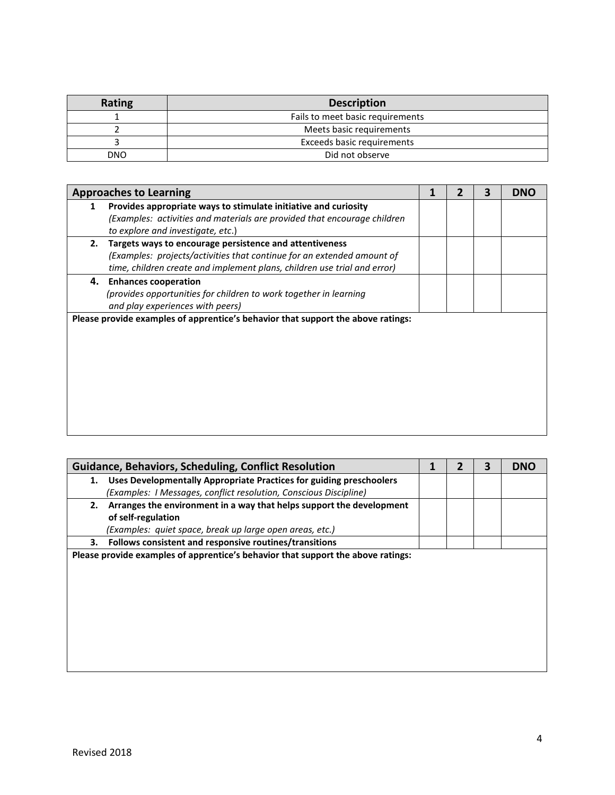| <b>Rating</b> | <b>Description</b>               |
|---------------|----------------------------------|
|               | Fails to meet basic requirements |
|               | Meets basic requirements         |
|               | Exceeds basic requirements       |
| DNO           | Did not observe                  |

|    | <b>Approaches to Learning</b>                                                                                 |  | 3 | <b>DNO</b> |
|----|---------------------------------------------------------------------------------------------------------------|--|---|------------|
| 1  | Provides appropriate ways to stimulate initiative and curiosity                                               |  |   |            |
|    | (Examples: activities and materials are provided that encourage children<br>to explore and investigate, etc.) |  |   |            |
| 2. | Targets ways to encourage persistence and attentiveness                                                       |  |   |            |
|    | (Examples: projects/activities that continue for an extended amount of                                        |  |   |            |
|    | time, children create and implement plans, children use trial and error)                                      |  |   |            |
|    | 4. Enhances cooperation                                                                                       |  |   |            |
|    | (provides opportunities for children to work together in learning                                             |  |   |            |
|    | and play experiences with peers)                                                                              |  |   |            |
|    | Please provide examples of apprentice's behavior that support the above ratings:                              |  |   |            |
|    |                                                                                                               |  |   |            |
|    |                                                                                                               |  |   |            |
|    |                                                                                                               |  |   |            |
|    |                                                                                                               |  |   |            |
|    |                                                                                                               |  |   |            |
|    |                                                                                                               |  |   |            |
|    |                                                                                                               |  |   |            |
|    |                                                                                                               |  |   |            |
|    |                                                                                                               |  |   |            |

|    | <b>Guidance, Behaviors, Scheduling, Conflict Resolution</b>                      |  | 3 | <b>DNO</b> |
|----|----------------------------------------------------------------------------------|--|---|------------|
| 1. | Uses Developmentally Appropriate Practices for guiding preschoolers              |  |   |            |
|    | (Examples: I Messages, conflict resolution, Conscious Discipline)                |  |   |            |
| 2. | Arranges the environment in a way that helps support the development             |  |   |            |
|    | of self-regulation                                                               |  |   |            |
|    | (Examples: quiet space, break up large open areas, etc.)                         |  |   |            |
| З. | Follows consistent and responsive routines/transitions                           |  |   |            |
|    | Please provide examples of apprentice's behavior that support the above ratings: |  |   |            |